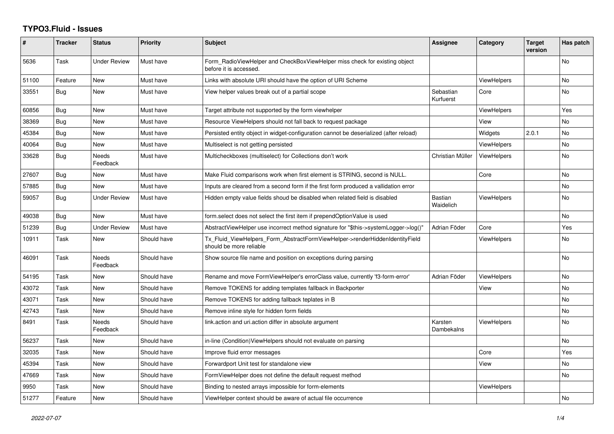## **TYPO3.Fluid - Issues**

| #     | <b>Tracker</b> | <b>Status</b>       | <b>Priority</b> | <b>Subject</b>                                                                                         | Assignee               | Category           | <b>Target</b><br>version | Has patch |
|-------|----------------|---------------------|-----------------|--------------------------------------------------------------------------------------------------------|------------------------|--------------------|--------------------------|-----------|
| 5636  | Task           | Under Review        | Must have       | Form RadioViewHelper and CheckBoxViewHelper miss check for existing object<br>before it is accessed.   |                        |                    |                          | No        |
| 51100 | Feature        | New                 | Must have       | Links with absolute URI should have the option of URI Scheme                                           |                        | <b>ViewHelpers</b> |                          | No        |
| 33551 | Bug            | <b>New</b>          | Must have       | View helper values break out of a partial scope                                                        | Sebastian<br>Kurfuerst | Core               |                          | <b>No</b> |
| 60856 | Bug            | New                 | Must have       | Target attribute not supported by the form viewhelper                                                  |                        | <b>ViewHelpers</b> |                          | Yes       |
| 38369 | <b>Bug</b>     | New                 | Must have       | Resource ViewHelpers should not fall back to request package                                           |                        | View               |                          | <b>No</b> |
| 45384 | Bug            | <b>New</b>          | Must have       | Persisted entity object in widget-configuration cannot be deserialized (after reload)                  |                        | Widgets            | 2.0.1                    | <b>No</b> |
| 40064 | Bug            | New                 | Must have       | Multiselect is not getting persisted                                                                   |                        | <b>ViewHelpers</b> |                          | No        |
| 33628 | Bug            | Needs<br>Feedback   | Must have       | Multicheckboxes (multiselect) for Collections don't work                                               | Christian Müller       | <b>ViewHelpers</b> |                          | <b>No</b> |
| 27607 | <b>Bug</b>     | New                 | Must have       | Make Fluid comparisons work when first element is STRING, second is NULL.                              |                        | Core               |                          | <b>No</b> |
| 57885 | <b>Bug</b>     | New                 | Must have       | Inputs are cleared from a second form if the first form produced a vallidation error                   |                        |                    |                          | No        |
| 59057 | <b>Bug</b>     | <b>Under Review</b> | Must have       | Hidden empty value fields shoud be disabled when related field is disabled                             | Bastian<br>Waidelich   | <b>ViewHelpers</b> |                          | <b>No</b> |
| 49038 | <b>Bug</b>     | <b>New</b>          | Must have       | form.select does not select the first item if prependOptionValue is used                               |                        |                    |                          | No        |
| 51239 | Bug            | Under Review        | Must have       | AbstractViewHelper use incorrect method signature for "\$this->systemLogger->log()"                    | Adrian Föder           | Core               |                          | Yes       |
| 10911 | Task           | New                 | Should have     | Tx_Fluid_ViewHelpers_Form_AbstractFormViewHelper->renderHiddenIdentityField<br>should be more reliable |                        | <b>ViewHelpers</b> |                          | <b>No</b> |
| 46091 | Task           | Needs<br>Feedback   | Should have     | Show source file name and position on exceptions during parsing                                        |                        |                    |                          | No        |
| 54195 | Task           | New                 | Should have     | Rename and move FormViewHelper's errorClass value, currently 'f3-form-error'                           | Adrian Föder           | ViewHelpers        |                          | No        |
| 43072 | Task           | New                 | Should have     | Remove TOKENS for adding templates fallback in Backporter                                              |                        | View               |                          | <b>No</b> |
| 43071 | Task           | New                 | Should have     | Remove TOKENS for adding fallback teplates in B                                                        |                        |                    |                          | No        |
| 42743 | Task           | New                 | Should have     | Remove inline style for hidden form fields                                                             |                        |                    |                          | No        |
| 8491  | Task           | Needs<br>Feedback   | Should have     | link.action and uri.action differ in absolute argument                                                 | Karsten<br>Dambekalns  | ViewHelpers        |                          | <b>No</b> |
| 56237 | Task           | New                 | Should have     | in-line (Condition) View Helpers should not evaluate on parsing                                        |                        |                    |                          | <b>No</b> |
| 32035 | Task           | New                 | Should have     | Improve fluid error messages                                                                           |                        | Core               |                          | Yes       |
| 45394 | Task           | New                 | Should have     | Forwardport Unit test for standalone view                                                              |                        | View               |                          | No        |
| 47669 | Task           | <b>New</b>          | Should have     | FormViewHelper does not define the default request method                                              |                        |                    |                          | <b>No</b> |
| 9950  | Task           | New                 | Should have     | Binding to nested arrays impossible for form-elements                                                  |                        | ViewHelpers        |                          |           |
| 51277 | Feature        | <b>New</b>          | Should have     | ViewHelper context should be aware of actual file occurrence                                           |                        |                    |                          | <b>No</b> |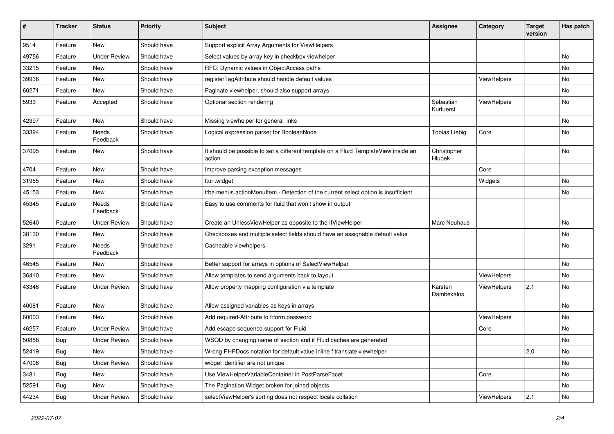| #     | <b>Tracker</b> | <b>Status</b>       | <b>Priority</b> | Subject                                                                                       | <b>Assignee</b>        | Category    | <b>Target</b><br>version | Has patch |
|-------|----------------|---------------------|-----------------|-----------------------------------------------------------------------------------------------|------------------------|-------------|--------------------------|-----------|
| 9514  | Feature        | New                 | Should have     | Support explicit Array Arguments for ViewHelpers                                              |                        |             |                          |           |
| 49756 | Feature        | Under Review        | Should have     | Select values by array key in checkbox viewhelper                                             |                        |             |                          | No        |
| 33215 | Feature        | New                 | Should have     | RFC: Dynamic values in ObjectAccess paths                                                     |                        |             |                          | No        |
| 39936 | Feature        | <b>New</b>          | Should have     | registerTagAttribute should handle default values                                             |                        | ViewHelpers |                          | No        |
| 60271 | Feature        | New                 | Should have     | Paginate viewhelper, should also support arrays                                               |                        |             |                          | No        |
| 5933  | Feature        | Accepted            | Should have     | Optional section rendering                                                                    | Sebastian<br>Kurfuerst | ViewHelpers |                          | No        |
| 42397 | Feature        | <b>New</b>          | Should have     | Missing viewhelper for general links                                                          |                        |             |                          | No        |
| 33394 | Feature        | Needs<br>Feedback   | Should have     | Logical expression parser for BooleanNode                                                     | <b>Tobias Liebig</b>   | Core        |                          | No        |
| 37095 | Feature        | New                 | Should have     | It should be possible to set a different template on a Fluid TemplateView inside an<br>action | Christopher<br>Hlubek  |             |                          | No        |
| 4704  | Feature        | New                 | Should have     | Improve parsing exception messages                                                            |                        | Core        |                          |           |
| 31955 | Feature        | New                 | Should have     | f:uri.widget                                                                                  |                        | Widgets     |                          | No        |
| 45153 | Feature        | New                 | Should have     | f:be.menus.actionMenuItem - Detection of the current select option is insufficient            |                        |             |                          | No        |
| 45345 | Feature        | Needs<br>Feedback   | Should have     | Easy to use comments for fluid that won't show in output                                      |                        |             |                          |           |
| 52640 | Feature        | <b>Under Review</b> | Should have     | Create an UnlessViewHelper as opposite to the IfViewHelper                                    | Marc Neuhaus           |             |                          | No        |
| 38130 | Feature        | New                 | Should have     | Checkboxes and multiple select fields should have an assignable default value                 |                        |             |                          | No        |
| 3291  | Feature        | Needs<br>Feedback   | Should have     | Cacheable viewhelpers                                                                         |                        |             |                          | No        |
| 46545 | Feature        | New                 | Should have     | Better support for arrays in options of SelectViewHelper                                      |                        |             |                          | No        |
| 36410 | Feature        | New                 | Should have     | Allow templates to send arguments back to layout                                              |                        | ViewHelpers |                          | No        |
| 43346 | Feature        | <b>Under Review</b> | Should have     | Allow property mapping configuration via template                                             | Karsten<br>Dambekalns  | ViewHelpers | 2.1                      | No        |
| 40081 | Feature        | New                 | Should have     | Allow assigned variables as keys in arrays                                                    |                        |             |                          | No        |
| 60003 | Feature        | New                 | Should have     | Add required-Attribute to f:form.password                                                     |                        | ViewHelpers |                          | No        |
| 46257 | Feature        | <b>Under Review</b> | Should have     | Add escape sequence support for Fluid                                                         |                        | Core        |                          | No        |
| 50888 | Bug            | <b>Under Review</b> | Should have     | WSOD by changing name of section and if Fluid caches are generated                            |                        |             |                          | No        |
| 52419 | <b>Bug</b>     | New                 | Should have     | Wrong PHPDocs notation for default value inline f:translate viewhelper                        |                        |             | 2.0                      | No        |
| 47006 | <b>Bug</b>     | <b>Under Review</b> | Should have     | widget identifier are not unique                                                              |                        |             |                          | No        |
| 3481  | Bug            | New                 | Should have     | Use ViewHelperVariableContainer in PostParseFacet                                             |                        | Core        |                          | No        |
| 52591 | <b>Bug</b>     | New                 | Should have     | The Pagination Widget broken for joined objects                                               |                        |             |                          | No        |
| 44234 | <b>Bug</b>     | <b>Under Review</b> | Should have     | selectViewHelper's sorting does not respect locale collation                                  |                        | ViewHelpers | 2.1                      | No        |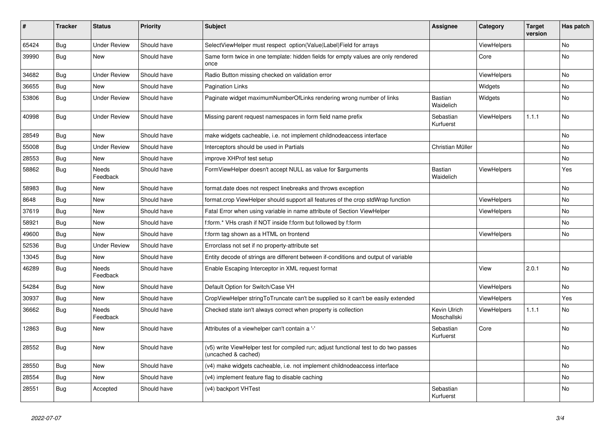| #     | <b>Tracker</b> | <b>Status</b>            | <b>Priority</b> | <b>Subject</b>                                                                                              | Assignee                    | Category           | <b>Target</b><br>version | Has patch |
|-------|----------------|--------------------------|-----------------|-------------------------------------------------------------------------------------------------------------|-----------------------------|--------------------|--------------------------|-----------|
| 65424 | Bug            | <b>Under Review</b>      | Should have     | SelectViewHelper must respect option(Value Label)Field for arrays                                           |                             | ViewHelpers        |                          | <b>No</b> |
| 39990 | Bug            | <b>New</b>               | Should have     | Same form twice in one template: hidden fields for empty values are only rendered<br>once                   |                             | Core               |                          | No        |
| 34682 | Bug            | <b>Under Review</b>      | Should have     | Radio Button missing checked on validation error                                                            |                             | <b>ViewHelpers</b> |                          | No        |
| 36655 | Bug            | New                      | Should have     | <b>Pagination Links</b>                                                                                     |                             | Widgets            |                          | No        |
| 53806 | Bug            | <b>Under Review</b>      | Should have     | Paginate widget maximumNumberOfLinks rendering wrong number of links                                        | <b>Bastian</b><br>Waidelich | Widgets            |                          | No        |
| 40998 | <b>Bug</b>     | <b>Under Review</b>      | Should have     | Missing parent request namespaces in form field name prefix                                                 | Sebastian<br>Kurfuerst      | ViewHelpers        | 1.1.1                    | No.       |
| 28549 | Bug            | <b>New</b>               | Should have     | make widgets cacheable, i.e. not implement childnodeaccess interface                                        |                             |                    |                          | <b>No</b> |
| 55008 | Bug            | <b>Under Review</b>      | Should have     | Interceptors should be used in Partials                                                                     | Christian Müller            |                    |                          | No        |
| 28553 | Bug            | New                      | Should have     | improve XHProf test setup                                                                                   |                             |                    |                          | No        |
| 58862 | Bug            | Needs<br>Feedback        | Should have     | FormViewHelper doesn't accept NULL as value for \$arguments                                                 | Bastian<br>Waidelich        | ViewHelpers        |                          | Yes       |
| 58983 | <b>Bug</b>     | <b>New</b>               | Should have     | format.date does not respect linebreaks and throws exception                                                |                             |                    |                          | <b>No</b> |
| 8648  | Bug            | <b>New</b>               | Should have     | format.crop ViewHelper should support all features of the crop stdWrap function                             |                             | ViewHelpers        |                          | <b>No</b> |
| 37619 | Bug            | <b>New</b>               | Should have     | Fatal Error when using variable in name attribute of Section ViewHelper                                     |                             | ViewHelpers        |                          | No        |
| 58921 | <b>Bug</b>     | <b>New</b>               | Should have     | f:form.* VHs crash if NOT inside f:form but followed by f:form                                              |                             |                    |                          | No.       |
| 49600 | <b>Bug</b>     | <b>New</b>               | Should have     | f:form tag shown as a HTML on frontend                                                                      |                             | <b>ViewHelpers</b> |                          | No        |
| 52536 | Bug            | <b>Under Review</b>      | Should have     | Errorclass not set if no property-attribute set                                                             |                             |                    |                          |           |
| 13045 | <b>Bug</b>     | <b>New</b>               | Should have     | Entity decode of strings are different between if-conditions and output of variable                         |                             |                    |                          |           |
| 46289 | Bug            | <b>Needs</b><br>Feedback | Should have     | Enable Escaping Interceptor in XML request format                                                           |                             | View               | 2.0.1                    | <b>No</b> |
| 54284 | <b>Bug</b>     | New                      | Should have     | Default Option for Switch/Case VH                                                                           |                             | <b>ViewHelpers</b> |                          | No        |
| 30937 | Bug            | New                      | Should have     | CropViewHelper stringToTruncate can't be supplied so it can't be easily extended                            |                             | ViewHelpers        |                          | Yes       |
| 36662 | Bug            | <b>Needs</b><br>Feedback | Should have     | Checked state isn't always correct when property is collection                                              | Kevin Ulrich<br>Moschallski | <b>ViewHelpers</b> | 1.1.1                    | No        |
| 12863 | Bug            | New                      | Should have     | Attributes of a viewhelper can't contain a '-'                                                              | Sebastian<br>Kurfuerst      | Core               |                          | No        |
| 28552 | Bug            | <b>New</b>               | Should have     | (v5) write ViewHelper test for compiled run; adjust functional test to do two passes<br>(uncached & cached) |                             |                    |                          | <b>No</b> |
| 28550 | <b>Bug</b>     | New                      | Should have     | (v4) make widgets cacheable, i.e. not implement childnodeaccess interface                                   |                             |                    |                          | No        |
| 28554 | Bug            | New                      | Should have     | (v4) implement feature flag to disable caching                                                              |                             |                    |                          | No        |
| 28551 | Bug            | Accepted                 | Should have     | (v4) backport VHTest                                                                                        | Sebastian<br>Kurfuerst      |                    |                          | No        |